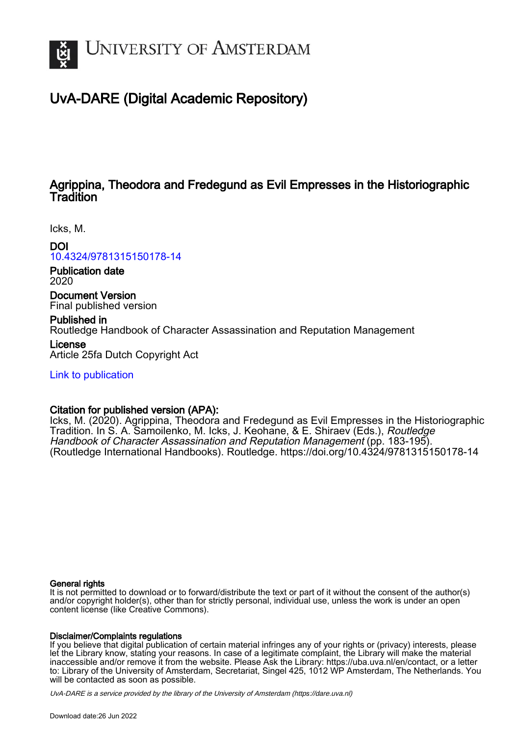

# UvA-DARE (Digital Academic Repository)

# Agrippina, Theodora and Fredegund as Evil Empresses in the Historiographic **Tradition**

Icks, M.

DOI

[10.4324/9781315150178-14](https://doi.org/10.4324/9781315150178-14)

Publication date 2020

Document Version Final published version

Published in Routledge Handbook of Character Assassination and Reputation Management License Article 25fa Dutch Copyright Act

[Link to publication](https://dare.uva.nl/personal/pure/en/publications/agrippina-theodora-and-fredegund-as-evil-empresses-in-the-historiographic-tradition(ca72dd3c-ae7f-43ad-b34e-18d3e689db51).html)

# Citation for published version (APA):

Icks, M. (2020). Agrippina, Theodora and Fredegund as Evil Empresses in the Historiographic Tradition. In S. A. Samoilenko, M. Icks, J. Keohane, & E. Shiraev (Eds.), Routledge Handbook of Character Assassination and Reputation Management (pp. 183-195). (Routledge International Handbooks). Routledge. <https://doi.org/10.4324/9781315150178-14>

# General rights

It is not permitted to download or to forward/distribute the text or part of it without the consent of the author(s) and/or copyright holder(s), other than for strictly personal, individual use, unless the work is under an open content license (like Creative Commons).

# Disclaimer/Complaints regulations

If you believe that digital publication of certain material infringes any of your rights or (privacy) interests, please let the Library know, stating your reasons. In case of a legitimate complaint, the Library will make the material inaccessible and/or remove it from the website. Please Ask the Library: https://uba.uva.nl/en/contact, or a letter to: Library of the University of Amsterdam, Secretariat, Singel 425, 1012 WP Amsterdam, The Netherlands. You will be contacted as soon as possible.

UvA-DARE is a service provided by the library of the University of Amsterdam (http*s*://dare.uva.nl)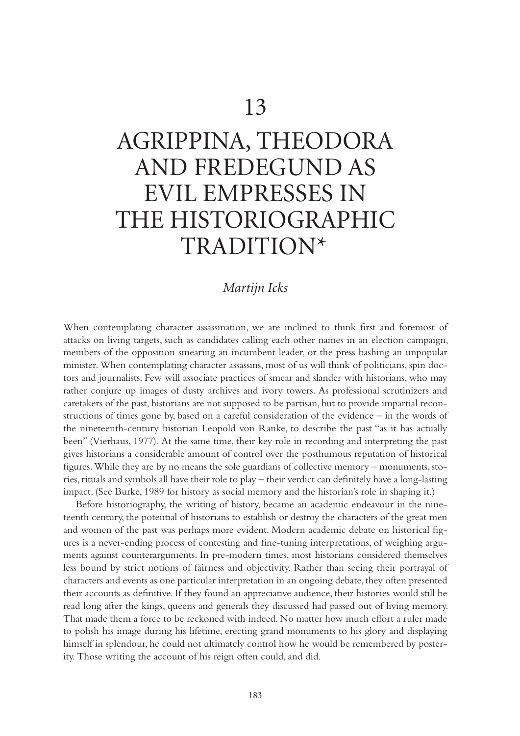# <span id="page-1-0"></span>AGRIPPINA, THEODORA AND FREDEGUND AS EVIL EMPRESSES IN THE HISTORIOGRAPHIC TRADITION[\\*](#page-11-0)

# *Martijn Icks*

When contemplating character assassination, we are inclined to think first and foremost of attacks on living targets, such as candidates calling each other names in an election campaign, members of the opposition smearing an incumbent leader, or the press bashing an unpopular minister. When contemplating character assassins, most of us will think of politicians, spin doctors and journalists. Few will associate practices of smear and slander with historians, who may rather conjure up images of dusty archives and ivory towers. As professional scrutinizers and caretakers of the past, historians are not supposed to be partisan, but to provide impartial reconstructions of times gone by, based on a careful consideration of the evidence – in the words of the nineteenth-century historian Leopold von Ranke, to describe the past "as it has actually been" (Vierhaus, 1977). At the same time, their key role in recording and interpreting the past gives historians a considerable amount of control over the posthumous reputation of historical figures. While they are by no means the sole guardians of collective memory – monuments, stories, rituals and symbols all have their role to play – their verdict can definitely have a long-lasting impact. (See Burke, 1989 for history as social memory and the historian's role in shaping it.)

Before historiography, the writing of history, became an academic endeavour in the nineteenth century, the potential of historians to establish or destroy the characters of the great men and women of the past was perhaps more evident. Modern academic debate on historical figures is a never-ending process of contesting and fine-tuning interpretations, of weighing arguments against counterarguments. In pre-modern times, most historians considered themselves less bound by strict notions of fairness and objectivity. Rather than seeing their portrayal of characters and events as one particular interpretation in an ongoing debate, they often presented their accounts as definitive. If they found an appreciative audience, their histories would still be read long after the kings, queens and generals they discussed had passed out of living memory. That made them a force to be reckoned with indeed. No matter how much effort a ruler made to polish his image during his lifetime, erecting grand monuments to his glory and displaying himself in splendour, he could not ultimately control how he would be remembered by posterity. Those writing the account of his reign often could, and did.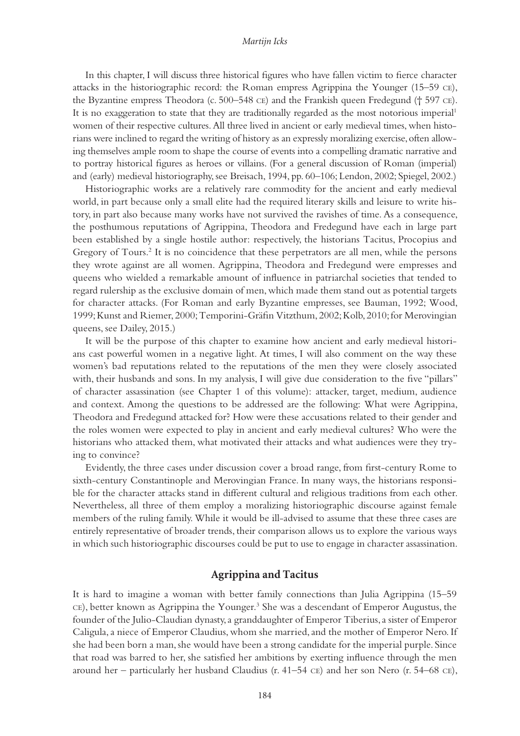<span id="page-2-0"></span>In this chapter, I will discuss three historical figures who have fallen victim to fierce character attacks in the historiographic record: the Roman empress Agrippina the Younger (15–59 ce), the Byzantine empress Theodora (c. 500–548 ce) and the Frankish queen Fredegund († 597 ce). It is no exaggeration to state that they are traditionally regarded as the most notorious imperial<sup>1</sup> women of their respective cultures. All three lived in ancient or early medieval times, when historians were inclined to regard the writing of history as an expressly moralizing exercise, often allowing themselves ample room to shape the course of events into a compelling dramatic narrative and to portray historical figures as heroes or villains. (For a general discussion of Roman (imperial) and (early) medieval historiography, see Breisach, 1994, pp. 60–106; Lendon, 2002; Spiegel, 2002.)

Historiographic works are a relatively rare commodity for the ancient and early medieval world, in part because only a small elite had the required literary skills and leisure to write history, in part also because many works have not survived the ravishes of time. As a consequence, the posthumous reputations of Agrippina, Theodora and Fredegund have each in large part been established by a single hostile author: respectively, the historians Tacitus, Procopius and Gregory of Tours.<sup>[2](#page-11-0)</sup> It is no coincidence that these perpetrators are all men, while the persons they wrote against are all women. Agrippina, Theodora and Fredegund were empresses and queens who wielded a remarkable amount of influence in patriarchal societies that tended to regard rulership as the exclusive domain of men, which made them stand out as potential targets for character attacks. (For Roman and early Byzantine empresses, see Bauman, 1992; Wood, 1999; Kunst and Riemer, 2000; Temporini-Gräfin Vitzthum, 2002; Kolb, 2010; for Merovingian queens, see Dailey, 2015.)

It will be the purpose of this chapter to examine how ancient and early medieval historians cast powerful women in a negative light. At times, I will also comment on the way these women's bad reputations related to the reputations of the men they were closely associated with, their husbands and sons. In my analysis, I will give due consideration to the five "pillars" of character assassination (see Chapter 1 of this volume): attacker, target, medium, audience and context. Among the questions to be addressed are the following: What were Agrippina, Theodora and Fredegund attacked for? How were these accusations related to their gender and the roles women were expected to play in ancient and early medieval cultures? Who were the historians who attacked them, what motivated their attacks and what audiences were they trying to convince?

Evidently, the three cases under discussion cover a broad range, from first-century Rome to sixth-century Constantinople and Merovingian France. In many ways, the historians responsible for the character attacks stand in different cultural and religious traditions from each other. Nevertheless, all three of them employ a moralizing historiographic discourse against female members of the ruling family. While it would be ill-advised to assume that these three cases are entirely representative of broader trends, their comparison allows us to explore the various ways in which such historiographic discourses could be put to use to engage in character assassination.

# **Agrippina and Tacitus**

It is hard to imagine a woman with better family connections than Julia Agrippina (15–59 CE), better known as Agrippina the Younger.<sup>[3](#page-11-0)</sup> She was a descendant of Emperor Augustus, the founder of the Julio-Claudian dynasty, a granddaughter of Emperor Tiberius, a sister of Emperor Caligula, a niece of Emperor Claudius, whom she married, and the mother of Emperor Nero. If she had been born a man, she would have been a strong candidate for the imperial purple. Since that road was barred to her, she satisfied her ambitions by exerting influence through the men around her – particularly her husband Claudius (r. 41–54  $CE$ ) and her son Nero (r. 54–68  $CE$ ),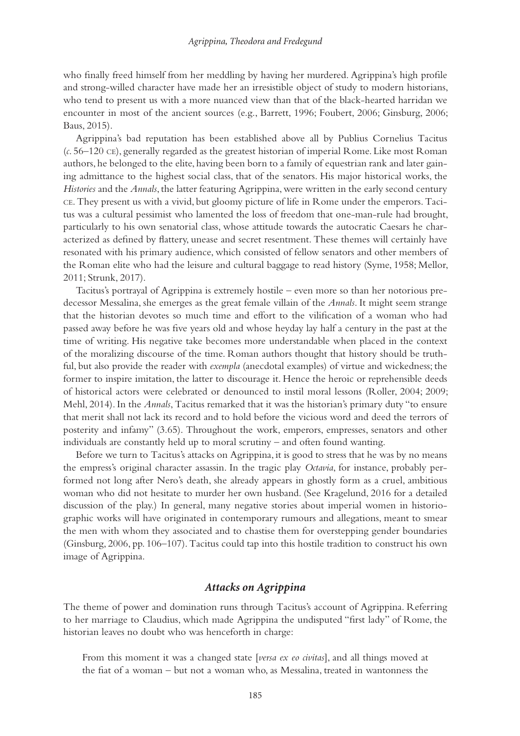who finally freed himself from her meddling by having her murdered. Agrippina's high profile and strong-willed character have made her an irresistible object of study to modern historians, who tend to present us with a more nuanced view than that of the black-hearted harridan we encounter in most of the ancient sources (e.g., Barrett, 1996; Foubert, 2006; Ginsburg, 2006; Baus, 2015).

Agrippina's bad reputation has been established above all by Publius Cornelius Tacitus (*c*. 56–120 ce), generally regarded as the greatest historian of imperial Rome. Like most Roman authors, he belonged to the elite, having been born to a family of equestrian rank and later gaining admittance to the highest social class, that of the senators. His major historical works, the *Histories* and the *Annals*, the latter featuring Agrippina, were written in the early second century ce. They present us with a vivid, but gloomy picture of life in Rome under the emperors. Tacitus was a cultural pessimist who lamented the loss of freedom that one-man-rule had brought, particularly to his own senatorial class, whose attitude towards the autocratic Caesars he characterized as defined by flattery, unease and secret resentment. These themes will certainly have resonated with his primary audience, which consisted of fellow senators and other members of the Roman elite who had the leisure and cultural baggage to read history (Syme, 1958; Mellor, 2011; Strunk, 2017).

Tacitus's portrayal of Agrippina is extremely hostile – even more so than her notorious predecessor Messalina, she emerges as the great female villain of the *Annals*. It might seem strange that the historian devotes so much time and effort to the vilification of a woman who had passed away before he was five years old and whose heyday lay half a century in the past at the time of writing. His negative take becomes more understandable when placed in the context of the moralizing discourse of the time. Roman authors thought that history should be truthful, but also provide the reader with *exempla* (anecdotal examples) of virtue and wickedness; the former to inspire imitation, the latter to discourage it. Hence the heroic or reprehensible deeds of historical actors were celebrated or denounced to instil moral lessons (Roller, 2004; 2009; Mehl, 2014). In the *Annals*, Tacitus remarked that it was the historian's primary duty "to ensure that merit shall not lack its record and to hold before the vicious word and deed the terrors of posterity and infamy" (3.65). Throughout the work, emperors, empresses, senators and other individuals are constantly held up to moral scrutiny – and often found wanting.

Before we turn to Tacitus's attacks on Agrippina, it is good to stress that he was by no means the empress's original character assassin. In the tragic play *Octavia*, for instance, probably performed not long after Nero's death, she already appears in ghostly form as a cruel, ambitious woman who did not hesitate to murder her own husband. (See Kragelund, 2016 for a detailed discussion of the play.) In general, many negative stories about imperial women in historiographic works will have originated in contemporary rumours and allegations, meant to smear the men with whom they associated and to chastise them for overstepping gender boundaries (Ginsburg, 2006, pp. 106–107). Tacitus could tap into this hostile tradition to construct his own image of Agrippina.

## *Attacks on Agrippina*

The theme of power and domination runs through Tacitus's account of Agrippina. Referring to her marriage to Claudius, which made Agrippina the undisputed "first lady" of Rome, the historian leaves no doubt who was henceforth in charge:

From this moment it was a changed state [*versa ex eo civitas*], and all things moved at the fiat of a woman – but not a woman who, as Messalina, treated in wantonness the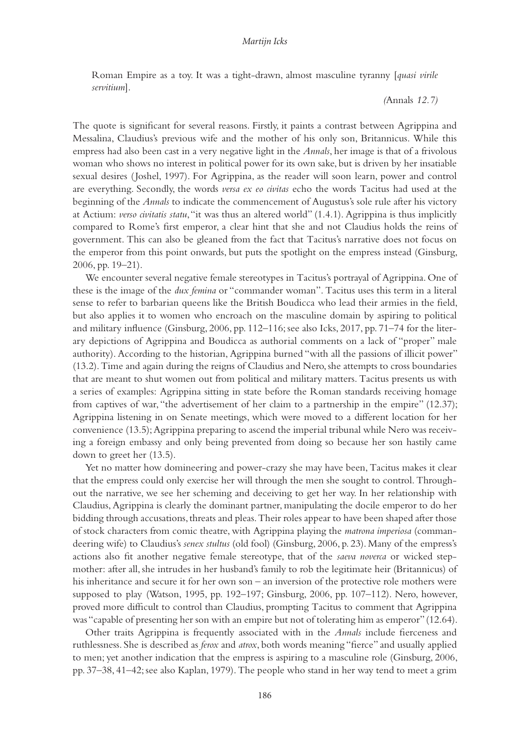Roman Empire as a toy. It was a tight-drawn, almost masculine tyranny [*quasi virile servitium*].

*(*Annals *12.7)*

The quote is significant for several reasons. Firstly, it paints a contrast between Agrippina and Messalina, Claudius's previous wife and the mother of his only son, Britannicus. While this empress had also been cast in a very negative light in the *Annals*, her image is that of a frivolous woman who shows no interest in political power for its own sake, but is driven by her insatiable sexual desires (Joshel, 1997). For Agrippina, as the reader will soon learn, power and control are everything. Secondly, the words *versa ex eo civitas* echo the words Tacitus had used at the beginning of the *Annals* to indicate the commencement of Augustus's sole rule after his victory at Actium: *verso civitatis statu*, "it was thus an altered world" (1.4.1). Agrippina is thus implicitly compared to Rome's first emperor, a clear hint that she and not Claudius holds the reins of government. This can also be gleaned from the fact that Tacitus's narrative does not focus on the emperor from this point onwards, but puts the spotlight on the empress instead (Ginsburg, 2006, pp. 19–21).

We encounter several negative female stereotypes in Tacitus's portrayal of Agrippina. One of these is the image of the *dux femina* or "commander woman". Tacitus uses this term in a literal sense to refer to barbarian queens like the British Boudicca who lead their armies in the field, but also applies it to women who encroach on the masculine domain by aspiring to political and military influence (Ginsburg, 2006, pp. 112–116; see also Icks, 2017, pp. 71–74 for the literary depictions of Agrippina and Boudicca as authorial comments on a lack of "proper" male authority). According to the historian, Agrippina burned "with all the passions of illicit power" (13.2). Time and again during the reigns of Claudius and Nero, she attempts to cross boundaries that are meant to shut women out from political and military matters. Tacitus presents us with a series of examples: Agrippina sitting in state before the Roman standards receiving homage from captives of war, "the advertisement of her claim to a partnership in the empire" (12.37); Agrippina listening in on Senate meetings, which were moved to a different location for her convenience (13.5); Agrippina preparing to ascend the imperial tribunal while Nero was receiving a foreign embassy and only being prevented from doing so because her son hastily came down to greet her (13.5).

Yet no matter how domineering and power-crazy she may have been, Tacitus makes it clear that the empress could only exercise her will through the men she sought to control. Throughout the narrative, we see her scheming and deceiving to get her way. In her relationship with Claudius, Agrippina is clearly the dominant partner, manipulating the docile emperor to do her bidding through accusations, threats and pleas. Their roles appear to have been shaped after those of stock characters from comic theatre, with Agrippina playing the *matrona imperiosa* (commandeering wife) to Claudius's *senex stultus* (old fool) (Ginsburg, 2006, p. 23). Many of the empress's actions also fit another negative female stereotype, that of the *saeva noverca* or wicked stepmother: after all, she intrudes in her husband's family to rob the legitimate heir (Britannicus) of his inheritance and secure it for her own son – an inversion of the protective role mothers were supposed to play (Watson, 1995, pp. 192–197; Ginsburg, 2006, pp. 107–112). Nero, however, proved more difficult to control than Claudius, prompting Tacitus to comment that Agrippina was "capable of presenting her son with an empire but not of tolerating him as emperor" (12.64).

Other traits Agrippina is frequently associated with in the *Annals* include fierceness and ruthlessness. She is described as *ferox* and *atrox*, both words meaning "fierce" and usually applied to men; yet another indication that the empress is aspiring to a masculine role (Ginsburg, 2006, pp. 37–38, 41–42; see also Kaplan, 1979). The people who stand in her way tend to meet a grim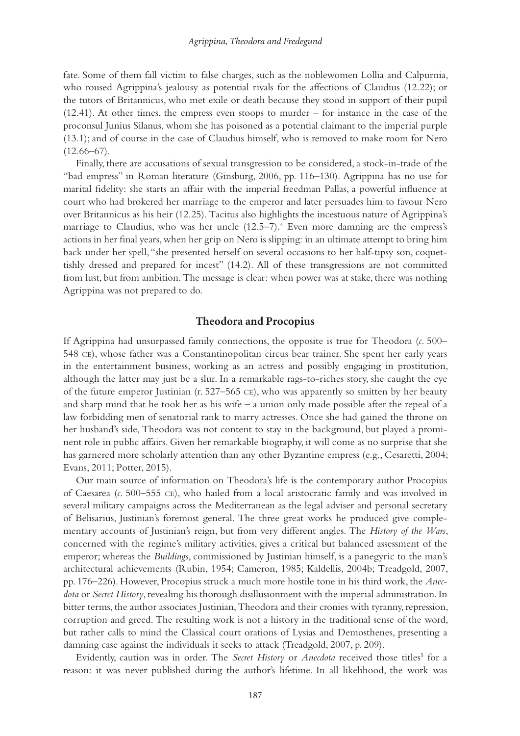<span id="page-5-0"></span>fate. Some of them fall victim to false charges, such as the noblewomen Lollia and Calpurnia, who roused Agrippina's jealousy as potential rivals for the affections of Claudius (12.22); or the tutors of Britannicus, who met exile or death because they stood in support of their pupil (12.41). At other times, the empress even stoops to murder – for instance in the case of the proconsul Junius Silanus, whom she has poisoned as a potential claimant to the imperial purple (13.1); and of course in the case of Claudius himself, who is removed to make room for Nero  $(12.66-67)$ .

Finally, there are accusations of sexual transgression to be considered, a stock-in-trade of the "bad empress" in Roman literature (Ginsburg, 2006, pp. 116–130). Agrippina has no use for marital fidelity: she starts an affair with the imperial freedman Pallas, a powerful influence at court who had brokered her marriage to the emperor and later persuades him to favour Nero over Britannicus as his heir (12.25). Tacitus also highlights the incestuous nature of Agrippina's marriage to Claudius, who was her uncle (12.5–7).[4](#page-11-0) Even more damning are the empress's actions in her final years, when her grip on Nero is slipping: in an ultimate attempt to bring him back under her spell, "she presented herself on several occasions to her half-tipsy son, coquettishly dressed and prepared for incest" (14.2). All of these transgressions are not committed from lust, but from ambition. The message is clear: when power was at stake, there was nothing Agrippina was not prepared to do.

## **Theodora and Procopius**

If Agrippina had unsurpassed family connections, the opposite is true for Theodora (*c*. 500– 548 ce), whose father was a Constantinopolitan circus bear trainer. She spent her early years in the entertainment business, working as an actress and possibly engaging in prostitution, although the latter may just be a slur. In a remarkable rags-to-riches story, she caught the eye of the future emperor Justinian (r. 527–565 ce), who was apparently so smitten by her beauty and sharp mind that he took her as his wife – a union only made possible after the repeal of a law forbidding men of senatorial rank to marry actresses. Once she had gained the throne on her husband's side, Theodora was not content to stay in the background, but played a prominent role in public affairs. Given her remarkable biography, it will come as no surprise that she has garnered more scholarly attention than any other Byzantine empress (e.g., Cesaretti, 2004; Evans, 2011; Potter, 2015).

Our main source of information on Theodora's life is the contemporary author Procopius of Caesarea (*c*. 500–555 ce), who hailed from a local aristocratic family and was involved in several military campaigns across the Mediterranean as the legal adviser and personal secretary of Belisarius, Justinian's foremost general. The three great works he produced give complementary accounts of Justinian's reign, but from very different angles. The *History of the Wars*, concerned with the regime's military activities, gives a critical but balanced assessment of the emperor; whereas the *Buildings*, commissioned by Justinian himself, is a panegyric to the man's architectural achievements (Rubin, 1954; Cameron, 1985; Kaldellis, 2004b; Treadgold, 2007, pp. 176–226). However, Procopius struck a much more hostile tone in his third work, the *Anecdota* or *Secret History*, revealing his thorough disillusionment with the imperial administration. In bitter terms, the author associates Justinian, Theodora and their cronies with tyranny, repression, corruption and greed. The resulting work is not a history in the traditional sense of the word, but rather calls to mind the Classical court orations of Lysias and Demosthenes, presenting a damning case against the individuals it seeks to attack (Treadgold, 2007, p. 209).

Evidently, caution was in order. The *Secret History* or *Anecdota* received those titles<sup>[5](#page-11-0)</sup> for a reason: it was never published during the author's lifetime. In all likelihood, the work was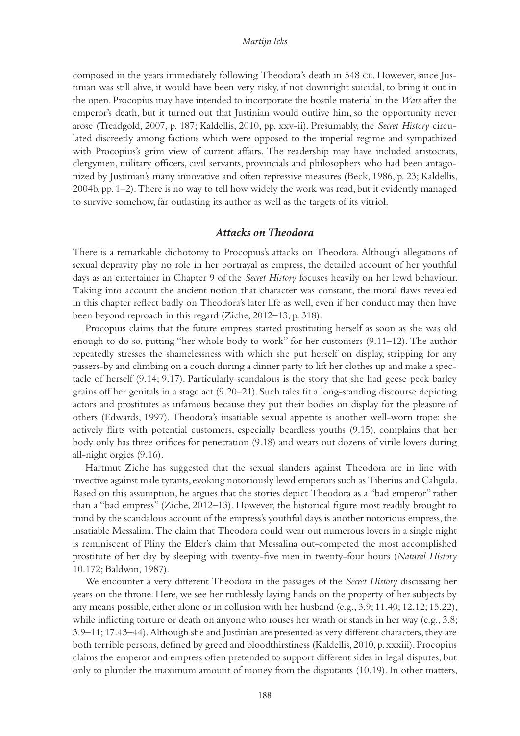composed in the years immediately following Theodora's death in 548 ce. However, since Justinian was still alive, it would have been very risky, if not downright suicidal, to bring it out in the open. Procopius may have intended to incorporate the hostile material in the *Wars* after the emperor's death, but it turned out that Justinian would outlive him, so the opportunity never arose (Treadgold, 2007, p. 187; Kaldellis, 2010, pp. xxv-ii). Presumably, the *Secret History* circulated discreetly among factions which were opposed to the imperial regime and sympathized with Procopius's grim view of current affairs. The readership may have included aristocrats, clergymen, military officers, civil servants, provincials and philosophers who had been antagonized by Justinian's many innovative and often repressive measures (Beck, 1986, p. 23; Kaldellis, 2004b, pp. 1–2). There is no way to tell how widely the work was read, but it evidently managed to survive somehow, far outlasting its author as well as the targets of its vitriol.

#### *Attacks on Theodora*

There is a remarkable dichotomy to Procopius's attacks on Theodora. Although allegations of sexual depravity play no role in her portrayal as empress, the detailed account of her youthful days as an entertainer in Chapter 9 of the *Secret History* focuses heavily on her lewd behaviour. Taking into account the ancient notion that character was constant, the moral flaws revealed in this chapter reflect badly on Theodora's later life as well, even if her conduct may then have been beyond reproach in this regard (Ziche, 2012–13, p. 318).

Procopius claims that the future empress started prostituting herself as soon as she was old enough to do so, putting "her whole body to work" for her customers (9.11–12). The author repeatedly stresses the shamelessness with which she put herself on display, stripping for any passers-by and climbing on a couch during a dinner party to lift her clothes up and make a spectacle of herself (9.14; 9.17). Particularly scandalous is the story that she had geese peck barley grains off her genitals in a stage act (9.20–21). Such tales fit a long-standing discourse depicting actors and prostitutes as infamous because they put their bodies on display for the pleasure of others (Edwards, 1997). Theodora's insatiable sexual appetite is another well-worn trope: she actively flirts with potential customers, especially beardless youths (9.15), complains that her body only has three orifices for penetration (9.18) and wears out dozens of virile lovers during all-night orgies (9.16).

Hartmut Ziche has suggested that the sexual slanders against Theodora are in line with invective against male tyrants, evoking notoriously lewd emperors such as Tiberius and Caligula. Based on this assumption, he argues that the stories depict Theodora as a "bad emperor" rather than a "bad empress" (Ziche, 2012–13). However, the historical figure most readily brought to mind by the scandalous account of the empress's youthful days is another notorious empress, the insatiable Messalina. The claim that Theodora could wear out numerous lovers in a single night is reminiscent of Pliny the Elder's claim that Messalina out-competed the most accomplished prostitute of her day by sleeping with twenty-five men in twenty-four hours (*Natural History* 10.172; Baldwin, 1987).

We encounter a very different Theodora in the passages of the *Secret History* discussing her years on the throne. Here, we see her ruthlessly laying hands on the property of her subjects by any means possible, either alone or in collusion with her husband (e.g., 3.9; 11.40; 12.12; 15.22), while inflicting torture or death on anyone who rouses her wrath or stands in her way (e.g., 3.8; 3.9–11; 17.43–44). Although she and Justinian are presented as very different characters, they are both terrible persons, defined by greed and bloodthirstiness (Kaldellis, 2010, p. xxxiii). Procopius claims the emperor and empress often pretended to support different sides in legal disputes, but only to plunder the maximum amount of money from the disputants (10.19). In other matters,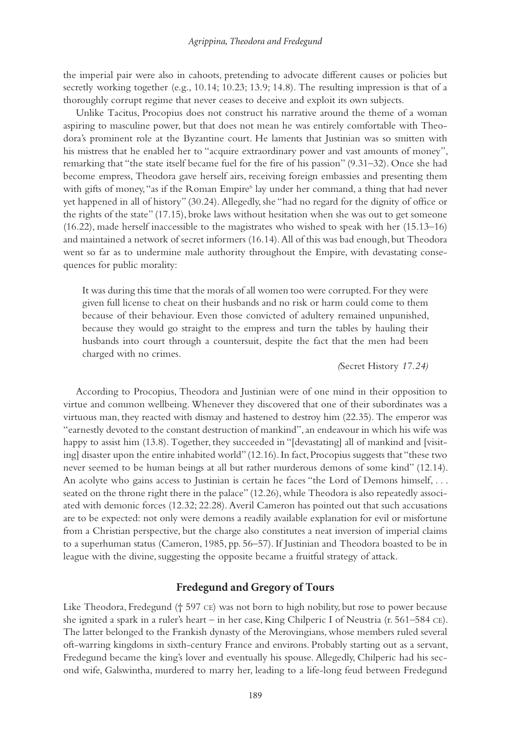<span id="page-7-0"></span>the imperial pair were also in cahoots, pretending to advocate different causes or policies but secretly working together (e.g., 10.14; 10.23; 13.9; 14.8). The resulting impression is that of a thoroughly corrupt regime that never ceases to deceive and exploit its own subjects.

Unlike Tacitus, Procopius does not construct his narrative around the theme of a woman aspiring to masculine power, but that does not mean he was entirely comfortable with Theodora's prominent role at the Byzantine court. He laments that Justinian was so smitten with his mistress that he enabled her to "acquire extraordinary power and vast amounts of money", remarking that "the state itself became fuel for the fire of his passion" (9.31–32). Once she had become empress, Theodora gave herself airs, receiving foreign embassies and presenting them with gifts of money, "as if the Roman Empire<sup>[6](#page-11-0)</sup> lay under her command, a thing that had never yet happened in all of history" (30.24). Allegedly, she "had no regard for the dignity of office or the rights of the state" (17.15), broke laws without hesitation when she was out to get someone (16.22), made herself inaccessible to the magistrates who wished to speak with her (15.13–16) and maintained a network of secret informers (16.14). All of this was bad enough, but Theodora went so far as to undermine male authority throughout the Empire, with devastating consequences for public morality:

It was during this time that the morals of all women too were corrupted. For they were given full license to cheat on their husbands and no risk or harm could come to them because of their behaviour. Even those convicted of adultery remained unpunished, because they would go straight to the empress and turn the tables by hauling their husbands into court through a countersuit, despite the fact that the men had been charged with no crimes.

*(*Secret History *17.24)*

According to Procopius, Theodora and Justinian were of one mind in their opposition to virtue and common wellbeing. Whenever they discovered that one of their subordinates was a virtuous man, they reacted with dismay and hastened to destroy him (22.35). The emperor was "earnestly devoted to the constant destruction of mankind", an endeavour in which his wife was happy to assist him (13.8). Together, they succeeded in "[devastating] all of mankind and [visiting] disaster upon the entire inhabited world" (12.16). In fact, Procopius suggests that "these two never seemed to be human beings at all but rather murderous demons of some kind" (12.14). An acolyte who gains access to Justinian is certain he faces "the Lord of Demons himself, . . . seated on the throne right there in the palace" (12.26), while Theodora is also repeatedly associated with demonic forces (12.32; 22.28). Averil Cameron has pointed out that such accusations are to be expected: not only were demons a readily available explanation for evil or misfortune from a Christian perspective, but the charge also constitutes a neat inversion of imperial claims to a superhuman status (Cameron, 1985, pp. 56–57). If Justinian and Theodora boasted to be in league with the divine, suggesting the opposite became a fruitful strategy of attack.

## **Fredegund and Gregory of Tours**

Like Theodora, Fredegund († 597 ce) was not born to high nobility, but rose to power because she ignited a spark in a ruler's heart – in her case, King Chilperic I of Neustria (r. 561–584 ce). The latter belonged to the Frankish dynasty of the Merovingians, whose members ruled several oft-warring kingdoms in sixth-century France and environs. Probably starting out as a servant, Fredegund became the king's lover and eventually his spouse. Allegedly, Chilperic had his second wife, Galswintha, murdered to marry her, leading to a life-long feud between Fredegund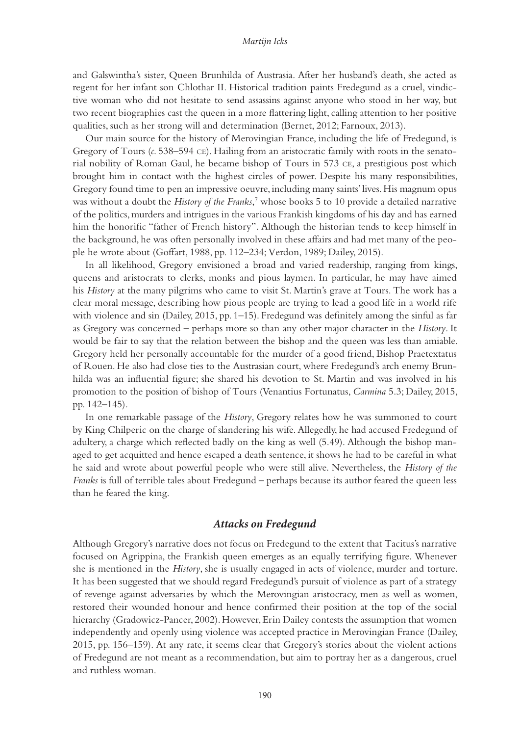<span id="page-8-0"></span>and Galswintha's sister, Queen Brunhilda of Austrasia. After her husband's death, she acted as regent for her infant son Chlothar II. Historical tradition paints Fredegund as a cruel, vindictive woman who did not hesitate to send assassins against anyone who stood in her way, but two recent biographies cast the queen in a more flattering light, calling attention to her positive qualities, such as her strong will and determination (Bernet, 2012; Farnoux, 2013).

Our main source for the history of Merovingian France, including the life of Fredegund, is Gregory of Tours (*c*. 538–594 ce). Hailing from an aristocratic family with roots in the senatorial nobility of Roman Gaul, he became bishop of Tours in 573 ce, a prestigious post which brought him in contact with the highest circles of power. Despite his many responsibilities, Gregory found time to pen an impressive oeuvre, including many saints' lives. His magnum opus was without a doubt the *History of the Franks*, [7](#page-11-0) whose books 5 to 10 provide a detailed narrative of the politics, murders and intrigues in the various Frankish kingdoms of his day and has earned him the honorific "father of French history". Although the historian tends to keep himself in the background, he was often personally involved in these affairs and had met many of the people he wrote about (Goffart, 1988, pp. 112–234; Verdon, 1989; Dailey, 2015).

In all likelihood, Gregory envisioned a broad and varied readership, ranging from kings, queens and aristocrats to clerks, monks and pious laymen. In particular, he may have aimed his *History* at the many pilgrims who came to visit St. Martin's grave at Tours. The work has a clear moral message, describing how pious people are trying to lead a good life in a world rife with violence and sin (Dailey, 2015, pp. 1–15). Fredegund was definitely among the sinful as far as Gregory was concerned – perhaps more so than any other major character in the *History*. It would be fair to say that the relation between the bishop and the queen was less than amiable. Gregory held her personally accountable for the murder of a good friend, Bishop Praetextatus of Rouen. He also had close ties to the Austrasian court, where Fredegund's arch enemy Brunhilda was an influential figure; she shared his devotion to St. Martin and was involved in his promotion to the position of bishop of Tours (Venantius Fortunatus, *Carmina* 5.3; Dailey, 2015, pp. 142–145).

In one remarkable passage of the *History*, Gregory relates how he was summoned to court by King Chilperic on the charge of slandering his wife. Allegedly, he had accused Fredegund of adultery, a charge which reflected badly on the king as well (5.49). Although the bishop managed to get acquitted and hence escaped a death sentence, it shows he had to be careful in what he said and wrote about powerful people who were still alive. Nevertheless, the *History of the Franks* is full of terrible tales about Fredegund – perhaps because its author feared the queen less than he feared the king.

#### *Attacks on Fredegund*

Although Gregory's narrative does not focus on Fredegund to the extent that Tacitus's narrative focused on Agrippina, the Frankish queen emerges as an equally terrifying figure. Whenever she is mentioned in the *History*, she is usually engaged in acts of violence, murder and torture. It has been suggested that we should regard Fredegund's pursuit of violence as part of a strategy of revenge against adversaries by which the Merovingian aristocracy, men as well as women, restored their wounded honour and hence confirmed their position at the top of the social hierarchy (Gradowicz-Pancer, 2002). However, Erin Dailey contests the assumption that women independently and openly using violence was accepted practice in Merovingian France (Dailey, 2015, pp. 156–159). At any rate, it seems clear that Gregory's stories about the violent actions of Fredegund are not meant as a recommendation, but aim to portray her as a dangerous, cruel and ruthless woman.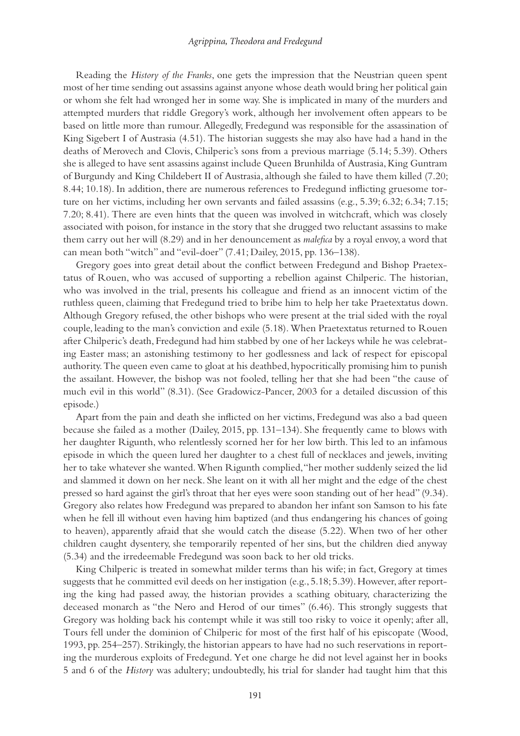#### *Agrippina, Theodora and Fredegund*

Reading the *History of the Franks*, one gets the impression that the Neustrian queen spent most of her time sending out assassins against anyone whose death would bring her political gain or whom she felt had wronged her in some way. She is implicated in many of the murders and attempted murders that riddle Gregory's work, although her involvement often appears to be based on little more than rumour. Allegedly, Fredegund was responsible for the assassination of King Sigebert I of Austrasia (4.51). The historian suggests she may also have had a hand in the deaths of Merovech and Clovis, Chilperic's sons from a previous marriage (5.14; 5.39). Others she is alleged to have sent assassins against include Queen Brunhilda of Austrasia, King Guntram of Burgundy and King Childebert II of Austrasia, although she failed to have them killed (7.20; 8.44; 10.18). In addition, there are numerous references to Fredegund inflicting gruesome torture on her victims, including her own servants and failed assassins (e.g., 5.39; 6.32; 6.34; 7.15; 7.20; 8.41). There are even hints that the queen was involved in witchcraft, which was closely associated with poison, for instance in the story that she drugged two reluctant assassins to make them carry out her will (8.29) and in her denouncement as *malefica* by a royal envoy, a word that can mean both "witch" and "evil-doer" (7.41; Dailey, 2015, pp. 136–138).

Gregory goes into great detail about the conflict between Fredegund and Bishop Praetextatus of Rouen, who was accused of supporting a rebellion against Chilperic. The historian, who was involved in the trial, presents his colleague and friend as an innocent victim of the ruthless queen, claiming that Fredegund tried to bribe him to help her take Praetextatus down. Although Gregory refused, the other bishops who were present at the trial sided with the royal couple, leading to the man's conviction and exile (5.18). When Praetextatus returned to Rouen after Chilperic's death, Fredegund had him stabbed by one of her lackeys while he was celebrating Easter mass; an astonishing testimony to her godlessness and lack of respect for episcopal authority. The queen even came to gloat at his deathbed, hypocritically promising him to punish the assailant. However, the bishop was not fooled, telling her that she had been "the cause of much evil in this world" (8.31). (See Gradowicz-Pancer, 2003 for a detailed discussion of this episode.)

Apart from the pain and death she inflicted on her victims, Fredegund was also a bad queen because she failed as a mother (Dailey, 2015, pp. 131–134). She frequently came to blows with her daughter Rigunth, who relentlessly scorned her for her low birth. This led to an infamous episode in which the queen lured her daughter to a chest full of necklaces and jewels, inviting her to take whatever she wanted. When Rigunth complied, "her mother suddenly seized the lid and slammed it down on her neck. She leant on it with all her might and the edge of the chest pressed so hard against the girl's throat that her eyes were soon standing out of her head" (9.34). Gregory also relates how Fredegund was prepared to abandon her infant son Samson to his fate when he fell ill without even having him baptized (and thus endangering his chances of going to heaven), apparently afraid that she would catch the disease (5.22). When two of her other children caught dysentery, she temporarily repented of her sins, but the children died anyway (5.34) and the irredeemable Fredegund was soon back to her old tricks.

King Chilperic is treated in somewhat milder terms than his wife; in fact, Gregory at times suggests that he committed evil deeds on her instigation (e.g., 5.18; 5.39). However, after reporting the king had passed away, the historian provides a scathing obituary, characterizing the deceased monarch as "the Nero and Herod of our times" (6.46). This strongly suggests that Gregory was holding back his contempt while it was still too risky to voice it openly; after all, Tours fell under the dominion of Chilperic for most of the first half of his episcopate (Wood, 1993, pp. 254–257). Strikingly, the historian appears to have had no such reservations in reporting the murderous exploits of Fredegund. Yet one charge he did not level against her in books 5 and 6 of the *History* was adultery; undoubtedly, his trial for slander had taught him that this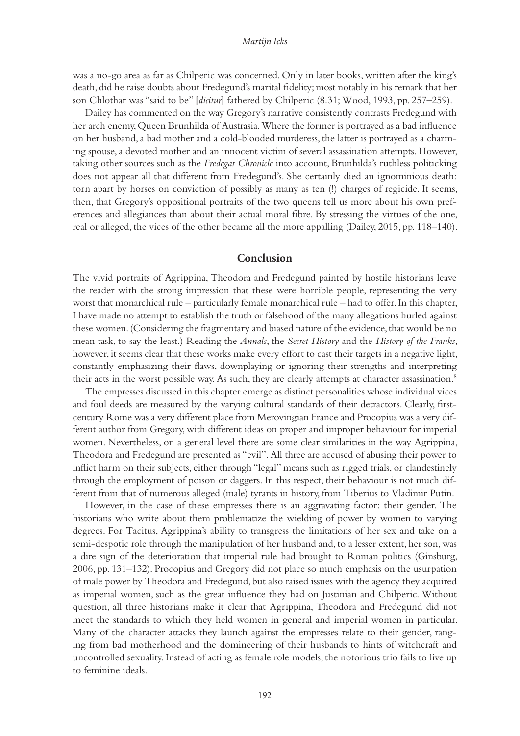<span id="page-10-0"></span>was a no-go area as far as Chilperic was concerned. Only in later books, written after the king's death, did he raise doubts about Fredegund's marital fidelity; most notably in his remark that her son Chlothar was "said to be" [*dicitur*] fathered by Chilperic (8.31; Wood, 1993, pp. 257–259).

Dailey has commented on the way Gregory's narrative consistently contrasts Fredegund with her arch enemy, Queen Brunhilda of Austrasia. Where the former is portrayed as a bad influence on her husband, a bad mother and a cold-blooded murderess, the latter is portrayed as a charming spouse, a devoted mother and an innocent victim of several assassination attempts. However, taking other sources such as the *Fredegar Chronicle* into account, Brunhilda's ruthless politicking does not appear all that different from Fredegund's. She certainly died an ignominious death: torn apart by horses on conviction of possibly as many as ten (!) charges of regicide. It seems, then, that Gregory's oppositional portraits of the two queens tell us more about his own preferences and allegiances than about their actual moral fibre. By stressing the virtues of the one, real or alleged, the vices of the other became all the more appalling (Dailey, 2015, pp. 118–140).

## **Conclusion**

The vivid portraits of Agrippina, Theodora and Fredegund painted by hostile historians leave the reader with the strong impression that these were horrible people, representing the very worst that monarchical rule – particularly female monarchical rule – had to offer. In this chapter, I have made no attempt to establish the truth or falsehood of the many allegations hurled against these women. (Considering the fragmentary and biased nature of the evidence, that would be no mean task, to say the least.) Reading the *Annals*, the *Secret History* and the *History of the Franks*, however, it seems clear that these works make every effort to cast their targets in a negative light, constantly emphasizing their flaws, downplaying or ignoring their strengths and interpreting their acts in the worst possible way. As such, they are clearly attempts at character assassination.<sup>8</sup>

The empresses discussed in this chapter emerge as distinct personalities whose individual vices and foul deeds are measured by the varying cultural standards of their detractors. Clearly, firstcentury Rome was a very different place from Merovingian France and Procopius was a very different author from Gregory, with different ideas on proper and improper behaviour for imperial women. Nevertheless, on a general level there are some clear similarities in the way Agrippina, Theodora and Fredegund are presented as "evil". All three are accused of abusing their power to inflict harm on their subjects, either through "legal" means such as rigged trials, or clandestinely through the employment of poison or daggers. In this respect, their behaviour is not much different from that of numerous alleged (male) tyrants in history, from Tiberius to Vladimir Putin.

However, in the case of these empresses there is an aggravating factor: their gender. The historians who write about them problematize the wielding of power by women to varying degrees. For Tacitus, Agrippina's ability to transgress the limitations of her sex and take on a semi-despotic role through the manipulation of her husband and, to a lesser extent, her son, was a dire sign of the deterioration that imperial rule had brought to Roman politics (Ginsburg, 2006, pp. 131–132). Procopius and Gregory did not place so much emphasis on the usurpation of male power by Theodora and Fredegund, but also raised issues with the agency they acquired as imperial women, such as the great influence they had on Justinian and Chilperic. Without question, all three historians make it clear that Agrippina, Theodora and Fredegund did not meet the standards to which they held women in general and imperial women in particular. Many of the character attacks they launch against the empresses relate to their gender, ranging from bad motherhood and the domineering of their husbands to hints of witchcraft and uncontrolled sexuality. Instead of acting as female role models, the notorious trio fails to live up to feminine ideals.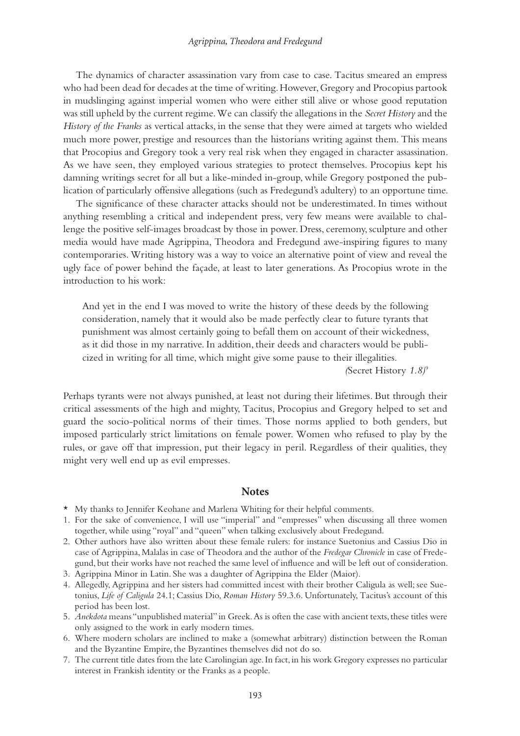<span id="page-11-0"></span>The dynamics of character assassination vary from case to case. Tacitus smeared an empress who had been dead for decades at the time of writing. However, Gregory and Procopius partook in mudslinging against imperial women who were either still alive or whose good reputation was still upheld by the current regime. We can classify the allegations in the *Secret History* and the *History of the Franks* as vertical attacks, in the sense that they were aimed at targets who wielded much more power, prestige and resources than the historians writing against them. This means that Procopius and Gregory took a very real risk when they engaged in character assassination. As we have seen, they employed various strategies to protect themselves. Procopius kept his damning writings secret for all but a like-minded in-group, while Gregory postponed the publication of particularly offensive allegations (such as Fredegund's adultery) to an opportune time.

The significance of these character attacks should not be underestimated. In times without anything resembling a critical and independent press, very few means were available to challenge the positive self-images broadcast by those in power. Dress, ceremony, sculpture and other media would have made Agrippina, Theodora and Fredegund awe-inspiring figures to many contemporaries. Writing history was a way to voice an alternative point of view and reveal the ugly face of power behind the façade, at least to later generations. As Procopius wrote in the introduction to his work:

And yet in the end I was moved to write the history of these deeds by the following consideration, namely that it would also be made perfectly clear to future tyrants that punishment was almost certainly going to befall them on account of their wickedness, as it did those in my narrative. In addition, their deeds and characters would be publicized in writing for all time, which might give some pause to their illegalities.

*(*Secret History *1.8)*[9](#page-12-0)

Perhaps tyrants were not always punished, at least not during their lifetimes. But through their critical assessments of the high and mighty, Tacitus, Procopius and Gregory helped to set and guard the socio-political norms of their times. Those norms applied to both genders, but imposed particularly strict limitations on female power. Women who refused to play by the rules, or gave off that impression, put their legacy in peril. Regardless of their qualities, they might very well end up as evil empresses.

#### **Notes**

- [\\*](#page-1-0) My thanks to Jennifer Keohane and Marlena Whiting for their helpful comments.
- [1.](#page-2-0) For the sake of convenience, I will use "imperial" and "empresses" when discussing all three women together, while using "royal" and "queen" when talking exclusively about Fredegund.
- [2.](#page-2-0) Other authors have also written about these female rulers: for instance Suetonius and Cassius Dio in case of Agrippina, Malalas in case of Theodora and the author of the *Fredegar Chronicle* in case of Fredegund, but their works have not reached the same level of influence and will be left out of consideration.
- [3.](#page-2-0) Agrippina Minor in Latin. She was a daughter of Agrippina the Elder (Maior).
- [4.](#page-5-0) Allegedly, Agrippina and her sisters had committed incest with their brother Caligula as well; see Suetonius, *Life of Caligula* 24.1; Cassius Dio, *Roman History* 59.3.6. Unfortunately, Tacitus's account of this period has been lost.
- [5.](#page-5-0) *Anekdota* means "unpublished material" in Greek. As is often the case with ancient texts, these titles were only assigned to the work in early modern times.
- [6.](#page-7-0) Where modern scholars are inclined to make a (somewhat arbitrary) distinction between the Roman and the Byzantine Empire, the Byzantines themselves did not do so.
- [7.](#page-8-0) The current title dates from the late Carolingian age. In fact, in his work Gregory expresses no particular interest in Frankish identity or the Franks as a people.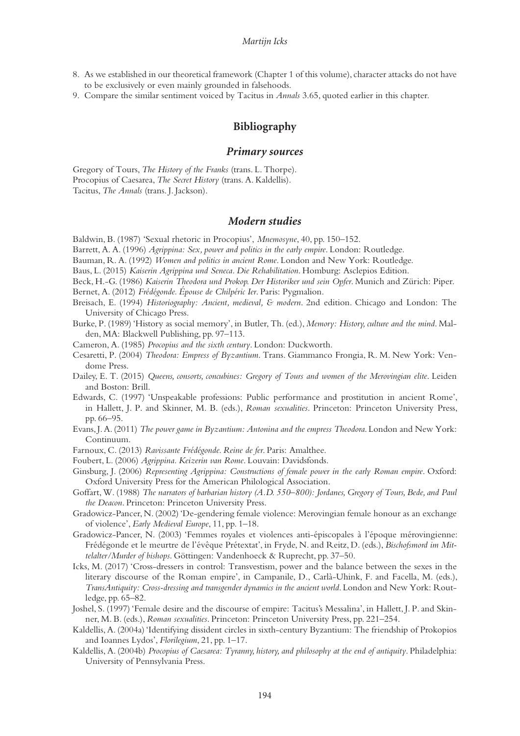- <span id="page-12-0"></span>[8.](#page-10-0) As we established in our theoretical framework (Chapter 1 of this volume), character attacks do not have to be exclusively or even mainly grounded in falsehoods.
- [9.](#page-11-0) Compare the similar sentiment voiced by Tacitus in *Annals* 3.65, quoted earlier in this chapter.

# **Bibliography**

#### *Primary sources*

Gregory of Tours, *The History of the Franks* (trans. L. Thorpe). Procopius of Caesarea, *The Secret History* (trans. A. Kaldellis). Tacitus, *The Annals* (trans. J. Jackson).

## *Modern studies*

Baldwin, B. (1987) 'Sexual rhetoric in Procopius', *Mnemosyne*, 40, pp. 150–152.

- Barrett, A. A. (1996) *Agrippina: Sex, power and politics in the early empire*. London: Routledge.
- Bauman, R. A. (1992) *Women and politics in ancient Rome*. London and New York: Routledge.

Baus, L. (2015) *Kaiserin Agrippina und Seneca. Die Rehabilitation*. Homburg: Asclepios Edition.

Beck, H.-G. (1986) *Kaiserin Theodora und Prokop. Der Historiker und sein Opfer*. Munich and Zürich: Piper.

Bernet, A. (2012) *Frédégonde. Épouse de Chilpéric Ier*. Paris: Pygmalion.

- Breisach, E. (1994) *Historiography: Ancient, medieval, & modern*. 2nd edition. Chicago and London: The University of Chicago Press.
- Burke, P. (1989) 'History as social memory', in Butler, Th. (ed.), *Memory: History, culture and the mind*. Malden, MA: Blackwell Publishing, pp. 97–113.
- Cameron, A. (1985) *Procopius and the sixth century*. London: Duckworth.
- Cesaretti, P. (2004) *Theodora: Empress of Byzantium*. Trans. Giammanco Frongia, R. M. New York: Vendome Press.
- Dailey, E. T. (2015) *Queens, consorts, concubines: Gregory of Tours and women of the Merovingian elite*. Leiden and Boston: Brill.
- Edwards, C. (1997) 'Unspeakable professions: Public performance and prostitution in ancient Rome', in Hallett, J. P. and Skinner, M. B. (eds.), *Roman sexualities*. Princeton: Princeton University Press, pp. 66–95.
- Evans, J. A. (2011) *The power game in Byzantium: Antonina and the empress Theodora*. London and New York: Continuum.
- Farnoux, C. (2013) *Ravissante Frédégonde. Reine de fer*. Paris: Amalthee.
- Foubert, L. (2006) *Agrippina. Keizerin van Rome*. Louvain: Davidsfonds.
- Ginsburg, J. (2006) *Representing Agrippina: Constructions of female power in the early Roman empire*. Oxford: Oxford University Press for the American Philological Association.
- Goffart, W. (1988) *The narrators of barbarian history (A.D. 550–800): Jordanes, Gregory of Tours, Bede, and Paul the Deacon*. Princeton: Princeton University Press.
- Gradowicz-Pancer, N. (2002) 'De-gendering female violence: Merovingian female honour as an exchange of violence', *Early Medieval Europe*, 11, pp. 1–18.
- Gradowicz-Pancer, N. (2003) 'Femmes royales et violences anti-épiscopales à l'époque mérovingienne: Frédégonde et le meurtre de l'évêque Prétextat', in Fryde, N. and Reitz, D. (eds.), *Bischofsmord im Mittelalter/Murder of bishops*. Göttingen: Vandenhoeck & Ruprecht, pp. 37–50.
- Icks, M. (2017) 'Cross-dressers in control: Transvestism, power and the balance between the sexes in the literary discourse of the Roman empire', in Campanile, D., Carlà-Uhink, F. and Facella, M. (eds.), *TransAntiquity: Cross-dressing and transgender dynamics in the ancient world*. London and New York: Routledge, pp. 65–82.
- Joshel, S. (1997) 'Female desire and the discourse of empire: Tacitus's Messalina', in Hallett, J. P. and Skinner, M. B. (eds.), *Roman sexualities*. Princeton: Princeton University Press, pp. 221–254.
- Kaldellis, A. (2004a) 'Identifying dissident circles in sixth-century Byzantium: The friendship of Prokopios and Ioannes Lydos', *Florilegium*, 21, pp. 1–17.
- Kaldellis, A. (2004b) *Procopius of Caesarea: Tyranny, history, and philosophy at the end of antiquity*. Philadelphia: University of Pennsylvania Press.